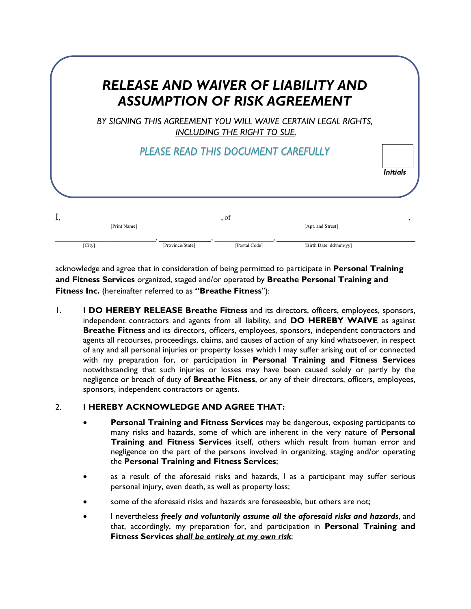| RELEASE AND WAIVER OF LIABILITY AND<br><b>ASSUMPTION OF RISK AGREEMENT</b> |                                     |                             |                                                                |                 |
|----------------------------------------------------------------------------|-------------------------------------|-----------------------------|----------------------------------------------------------------|-----------------|
|                                                                            |                                     | INCLUDING THE RIGHT TO SUE. | BY SIGNING THIS AGREEMENT YOU WILL WAIVE CERTAIN LEGAL RIGHTS, |                 |
|                                                                            | PLEASE READ THIS DOCUMENT CAREFULLY |                             |                                                                | <b>Initials</b> |
|                                                                            |                                     |                             |                                                                |                 |
| [Print Name]                                                               |                                     | of                          | [Apt. and Street]                                              |                 |

acknowledge and agree that in consideration of being permitted to participate in **Personal Training and Fitness Services** organized, staged and/or operated by **Breathe Personal Training and Fitness Inc.** (hereinafter referred to as **"Breathe Fitness**"):

1. **I DO HEREBY RELEASE Breathe Fitness** and its directors, officers, employees, sponsors, independent contractors and agents from all liability, and **DO HEREBY WAIVE** as against **Breathe Fitness** and its directors, officers, employees, sponsors, independent contractors and agents all recourses, proceedings, claims, and causes of action of any kind whatsoever, in respect of any and all personal injuries or property losses which I may suffer arising out of or connected with my preparation for, or participation in **Personal Training and Fitness Services** notwithstanding that such injuries or losses may have been caused solely or partly by the negligence or breach of duty of **Breathe Fitness**, or any of their directors, officers, employees, sponsors, independent contractors or agents.

## 2. **I HEREBY ACKNOWLEDGE AND AGREE THAT:**

- **Personal Training and Fitness Services** may be dangerous, exposing participants to many risks and hazards, some of which are inherent in the very nature of **Personal Training and Fitness Services** itself, others which result from human error and negligence on the part of the persons involved in organizing, staging and/or operating the **Personal Training and Fitness Services**;
- as a result of the aforesaid risks and hazards, I as a participant may suffer serious personal injury, even death, as well as property loss;
- some of the aforesaid risks and hazards are foreseeable, but others are not:
- I nevertheless *freely and voluntarily assume all the aforesaid risks and hazards*, and that, accordingly, my preparation for, and participation in **Personal Training and Fitness Services** *shall be entirely at my own risk*;